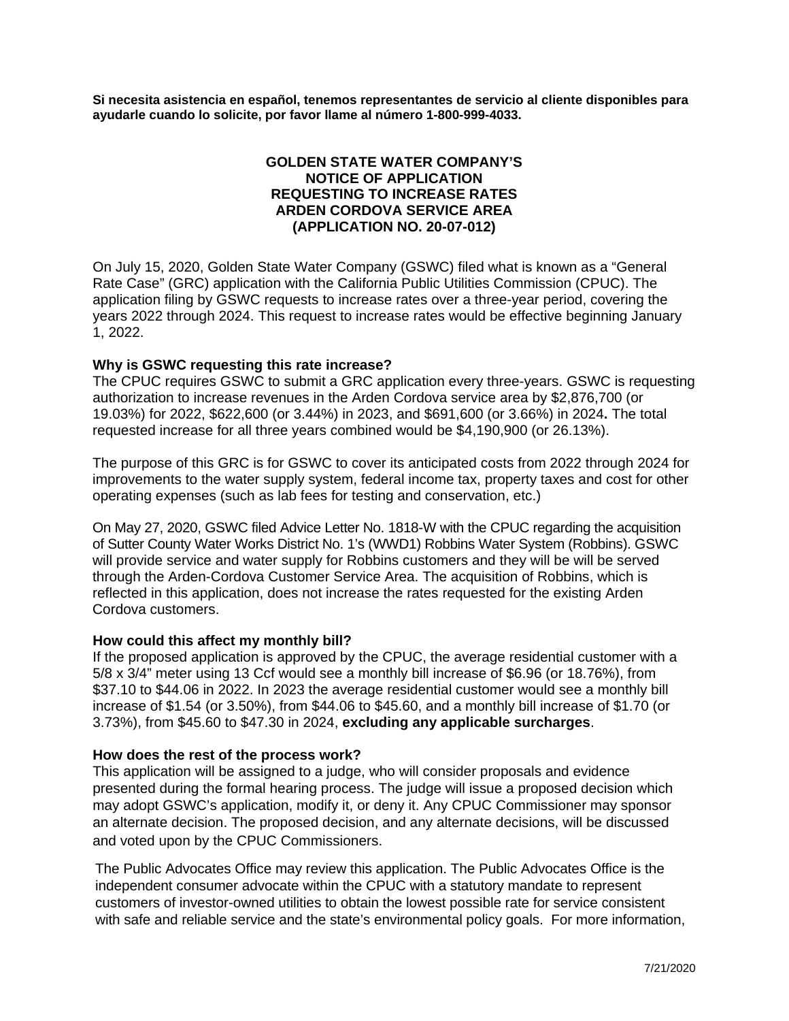**Si necesita asistencia en español, tenemos representantes de servicio al cliente disponibles para ayudarle cuando lo solicite, por favor llame al número 1-800-999-4033.**

# **GOLDEN STATE WATER COMPANY'S NOTICE OF APPLICATION REQUESTING TO INCREASE RATES ARDEN CORDOVA SERVICE AREA (APPLICATION NO. 20-07-012)**

On July 15, 2020, Golden State Water Company (GSWC) filed what is known as a "General Rate Case" (GRC) application with the California Public Utilities Commission (CPUC). The application filing by GSWC requests to increase rates over a three-year period, covering the years 2022 through 2024. This request to increase rates would be effective beginning January 1, 2022.

# **Why is GSWC requesting this rate increase?**

The CPUC requires GSWC to submit a GRC application every three-years. GSWC is requesting authorization to increase revenues in the Arden Cordova service area by \$2,876,700 (or 19.03%) for 2022, \$622,600 (or 3.44%) in 2023, and \$691,600 (or 3.66%) in 2024**.** The total requested increase for all three years combined would be \$4,190,900 (or 26.13%).

The purpose of this GRC is for GSWC to cover its anticipated costs from 2022 through 2024 for improvements to the water supply system, federal income tax, property taxes and cost for other operating expenses (such as lab fees for testing and conservation, etc.)

On May 27, 2020, GSWC filed Advice Letter No. 1818-W with the CPUC regarding the acquisition of Sutter County Water Works District No. 1's (WWD1) Robbins Water System (Robbins). GSWC will provide service and water supply for Robbins customers and they will be will be served through the Arden-Cordova Customer Service Area. The acquisition of Robbins, which is reflected in this application, does not increase the rates requested for the existing Arden Cordova customers.

### **How could this affect my monthly bill?**

If the proposed application is approved by the CPUC, the average residential customer with a 5/8 x 3/4" meter using 13 Ccf would see a monthly bill increase of \$6.96 (or 18.76%), from \$37.10 to \$44.06 in 2022. In 2023 the average residential customer would see a monthly bill increase of \$1.54 (or 3.50%), from \$44.06 to \$45.60, and a monthly bill increase of \$1.70 (or 3.73%), from \$45.60 to \$47.30 in 2024, **excluding any applicable surcharges**.

### **How does the rest of the process work?**

This application will be assigned to a judge, who will consider proposals and evidence presented during the formal hearing process. The judge will issue a proposed decision which may adopt GSWC's application, modify it, or deny it. Any CPUC Commissioner may sponsor an alternate decision. The proposed decision, and any alternate decisions, will be discussed and voted upon by the CPUC Commissioners.

The Public Advocates Office may review this application. The Public Advocates Office is the independent consumer advocate within the CPUC with a statutory mandate to represent customers of investor-owned utilities to obtain the lowest possible rate for service consistent with safe and reliable service and the state's environmental policy goals. For more information,